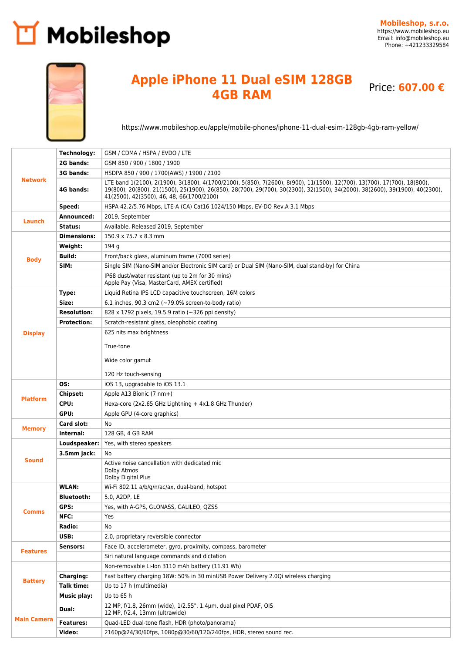## Mobileshop



## **Apple iPhone 11 Dual eSIM 128GB 4GB RAM** Price: **607.00 €**

<https://www.mobileshop.eu/apple/mobile-phones/iphone-11-dual-esim-128gb-4gb-ram-yellow/>

| <b>Network</b>     | Technology:        | GSM / CDMA / HSPA / EVDO / LTE                                                                                                                                                                                                                                                                        |
|--------------------|--------------------|-------------------------------------------------------------------------------------------------------------------------------------------------------------------------------------------------------------------------------------------------------------------------------------------------------|
|                    | 2G bands:          | GSM 850 / 900 / 1800 / 1900                                                                                                                                                                                                                                                                           |
|                    | 3G bands:          | HSDPA 850 / 900 / 1700(AWS) / 1900 / 2100                                                                                                                                                                                                                                                             |
|                    | 4G bands:          | LTE band 1(2100), 2(1900), 3(1800), 4(1700/2100), 5(850), 7(2600), 8(900), 11(1500), 12(700), 13(700), 17(700), 18(800),<br>19(800), 20(800), 21(1500), 25(1900), 26(850), 28(700), 29(700), 30(2300), 32(1500), 34(2000), 38(2600), 39(1900), 40(2300),<br>41(2500), 42(3500), 46, 48, 66(1700/2100) |
|                    | Speed:             | HSPA 42.2/5.76 Mbps, LTE-A (CA) Cat16 1024/150 Mbps, EV-DO Rev.A 3.1 Mbps                                                                                                                                                                                                                             |
| Launch             | Announced:         | 2019, September                                                                                                                                                                                                                                                                                       |
|                    | Status:            | Available. Released 2019, September                                                                                                                                                                                                                                                                   |
| <b>Body</b>        | <b>Dimensions:</b> | 150.9 x 75.7 x 8.3 mm                                                                                                                                                                                                                                                                                 |
|                    | Weight:            | 194 g                                                                                                                                                                                                                                                                                                 |
|                    | <b>Build:</b>      | Front/back glass, aluminum frame (7000 series)                                                                                                                                                                                                                                                        |
|                    | SIM:               | Single SIM (Nano-SIM and/or Electronic SIM card) or Dual SIM (Nano-SIM, dual stand-by) for China                                                                                                                                                                                                      |
|                    |                    | IP68 dust/water resistant (up to 2m for 30 mins)<br>Apple Pay (Visa, MasterCard, AMEX certified)                                                                                                                                                                                                      |
|                    | Type:              | Liquid Retina IPS LCD capacitive touchscreen, 16M colors                                                                                                                                                                                                                                              |
|                    | Size:              | 6.1 inches, 90.3 cm2 ( $\sim$ 79.0% screen-to-body ratio)                                                                                                                                                                                                                                             |
|                    | <b>Resolution:</b> | 828 x 1792 pixels, 19.5:9 ratio (~326 ppi density)                                                                                                                                                                                                                                                    |
|                    | <b>Protection:</b> | Scratch-resistant glass, oleophobic coating                                                                                                                                                                                                                                                           |
| <b>Display</b>     |                    | 625 nits max brightness                                                                                                                                                                                                                                                                               |
|                    |                    | True-tone                                                                                                                                                                                                                                                                                             |
|                    |                    |                                                                                                                                                                                                                                                                                                       |
|                    |                    | Wide color gamut                                                                                                                                                                                                                                                                                      |
|                    |                    | 120 Hz touch-sensing                                                                                                                                                                                                                                                                                  |
|                    | OS:                | iOS 13, upgradable to iOS 13.1                                                                                                                                                                                                                                                                        |
| <b>Platform</b>    | <b>Chipset:</b>    | Apple A13 Bionic (7 nm+)                                                                                                                                                                                                                                                                              |
|                    | CPU:               | Hexa-core (2x2.65 GHz Lightning + 4x1.8 GHz Thunder)                                                                                                                                                                                                                                                  |
|                    | GPU:               | Apple GPU (4-core graphics)                                                                                                                                                                                                                                                                           |
| <b>Memory</b>      | Card slot:         | No                                                                                                                                                                                                                                                                                                    |
|                    | Internal:          | 128 GB, 4 GB RAM                                                                                                                                                                                                                                                                                      |
|                    | Loudspeaker:       | Yes, with stereo speakers                                                                                                                                                                                                                                                                             |
| <b>Sound</b>       | 3.5mm jack:        | No                                                                                                                                                                                                                                                                                                    |
|                    |                    | Active noise cancellation with dedicated mic                                                                                                                                                                                                                                                          |
|                    |                    | Dolby Atmos<br>Dolby Digital Plus                                                                                                                                                                                                                                                                     |
|                    | <b>WLAN:</b>       | Wi-Fi 802.11 a/b/g/n/ac/ax, dual-band, hotspot                                                                                                                                                                                                                                                        |
|                    | <b>Bluetooth:</b>  | 5.0, A2DP, LE                                                                                                                                                                                                                                                                                         |
|                    | GPS:               | Yes, with A-GPS, GLONASS, GALILEO, QZSS                                                                                                                                                                                                                                                               |
| Comms              | NFC:               | Yes                                                                                                                                                                                                                                                                                                   |
|                    | Radio:             | No                                                                                                                                                                                                                                                                                                    |
|                    | USB:               | 2.0, proprietary reversible connector                                                                                                                                                                                                                                                                 |
| <b>Features</b>    | Sensors:           | Face ID, accelerometer, gyro, proximity, compass, barometer                                                                                                                                                                                                                                           |
|                    |                    | Siri natural language commands and dictation                                                                                                                                                                                                                                                          |
| <b>Battery</b>     |                    | Non-removable Li-Ion 3110 mAh battery (11.91 Wh)                                                                                                                                                                                                                                                      |
|                    | Charging:          | Fast battery charging 18W: 50% in 30 minUSB Power Delivery 2.0Qi wireless charging                                                                                                                                                                                                                    |
|                    | Talk time:         | Up to 17 h (multimedia)                                                                                                                                                                                                                                                                               |
|                    | <b>Music play:</b> | Up to $65h$                                                                                                                                                                                                                                                                                           |
| <b>Main Camera</b> | Dual:              | 12 MP, f/1.8, 26mm (wide), 1/2.55", 1.4µm, dual pixel PDAF, OIS<br>12 MP, f/2.4, 13mm (ultrawide)                                                                                                                                                                                                     |
|                    | <b>Features:</b>   | Quad-LED dual-tone flash, HDR (photo/panorama)                                                                                                                                                                                                                                                        |
|                    | Video:             | 2160p@24/30/60fps, 1080p@30/60/120/240fps, HDR, stereo sound rec.                                                                                                                                                                                                                                     |